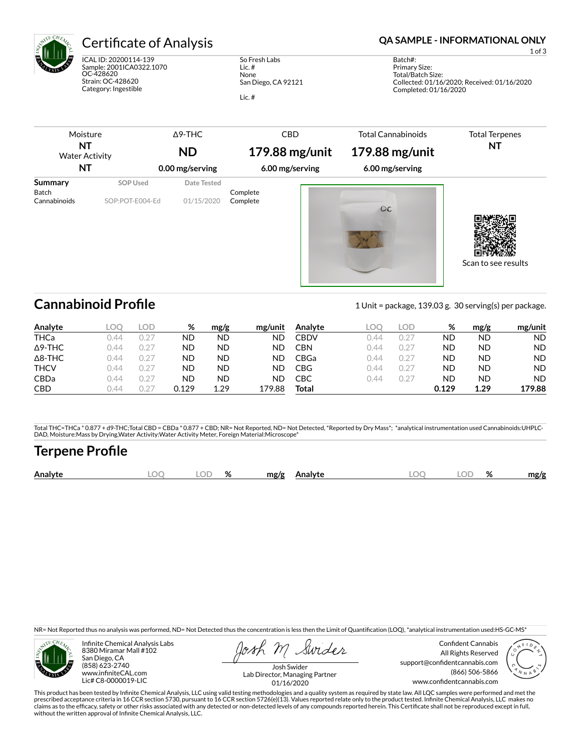

# Certificate of Analysis **Certificate of Analysis QA SAMPLE - INFORMATIONAL ONLY**

ICAL ID: 20200114-139 Sample: 2001ICA0322.1070 OC-428620 Strain: OC-428620 Category: Ingestible

So Fresh Labs Lic. # None San Diego, CA 92121 Lic. #

1 of 3

Batch#: Primary Size: Total/Batch Size: Collected: 01/16/2020; Received: 01/16/2020 Completed: 01/16/2020

| Moisture<br>NT<br><b>Water Activity</b><br>NT  |                             | $\triangle$ 9-THC<br><b>ND</b><br>0.00 mg/serving | <b>CBD</b><br>179.88 mg/unit<br>6.00 mg/serving | <b>Total Cannabinoids</b><br>179.88 mg/unit<br>6.00 mg/serving | <b>Total Terpenes</b><br><b>NT</b> |
|------------------------------------------------|-----------------------------|---------------------------------------------------|-------------------------------------------------|----------------------------------------------------------------|------------------------------------|
| <b>Summary</b><br><b>Batch</b><br>Cannabinoids | SOP Used<br>SOP:POT-E004-Ed | Date Tested<br>01/15/2020                         | Complete<br>Complete                            | OC                                                             | Scan to see results                |

**Cannabinoid Profile** 1 Unit = package, 139.03 g. 30 serving(s) per package.

| Analyte        | LOC  | LOD   | %     | mg/g | mg/unit | Analyte     | LOC  | LOD.        | %     | mg/g | mg/unit   |
|----------------|------|-------|-------|------|---------|-------------|------|-------------|-------|------|-----------|
| <b>THCa</b>    | 144  | 0.27  | ND    | ND   | ND      | CBDV        | 144  | $0.2^\circ$ | ΝD    | ND   | <b>ND</b> |
| $\Delta$ 9-THC | 144  | 0.2"  | ND    | ND   | ND      | CBN         | ገ 44 | $0.2^{-}$   | ΝD    | ND   | ND.       |
| $\Delta$ 8-THC | 144  | (127) | ND    | ND   | ND      | <b>CBGa</b> | ገ 44 | $0.2^{-}$   | ΝD    | ND   | ND.       |
| <b>THCV</b>    | 144  | 0.2"  | ND    | ND   | ND      | CBG         | ገ 44 | $0.2^{-}$   | ΝD    | ND   | ND.       |
| <b>CBDa</b>    | 0.44 | (127) | ND    | ND   | ND      | СВС         | ገ 44 | $0.2^{-}$   | ΝD    | ND   | ND.       |
| <b>CBD</b>     | 144  |       | 0.129 | 1.29 | 179.88  | Total       |      |             | 0.129 | 1.29 | 179.88    |

Total THC=THCa \* 0.877 + d9-THC;Total CBD = CBDa \* 0.877 + CBD; NR= Not Reported, ND= Not Detected, \*Reported by Dry Mass\*; \*analytical instrumentation used Cannabinoids:UHPLC-DAD, Moisture:Mass by Drying,Water Activity:Water Activity Meter, Foreign Material:Microscope\*

# **Terpene Profile**

| OГ<br>Analyte<br>ΙC<br>ЭΓ<br>mg/g<br>mg/g<br><b>\nalvte</b><br>7٥<br>70 |
|-------------------------------------------------------------------------|
|-------------------------------------------------------------------------|

NR= Not Reported thus no analysis was performed, ND= Not Detected thus the concentration is less then the Limit of Quantification (LOQ), \*analytical instrumentation used:HS-GC-MS\*



Infinite Chemical Analysis Labs 8380 Miramar Mall #102 San Diego, CA (858) 623-2740 www.infiniteCAL.com Lic# C8-0000019-LIC

Swides

Confident Cannabis All Rights Reserved support@confidentcannabis.com (866) 506-5866 www.confidentcannabis.com



Josh Swider Lab Director, Managing Partner 01/16/2020

This product has been tested by Infinite Chemical Analysis, LLC using valid testing methodologies and a quality system as required by state law. All LQC samples were performed and met the<br>prescribed acceptance criteria in without the written approval of Infinite Chemical Analysis, LLC.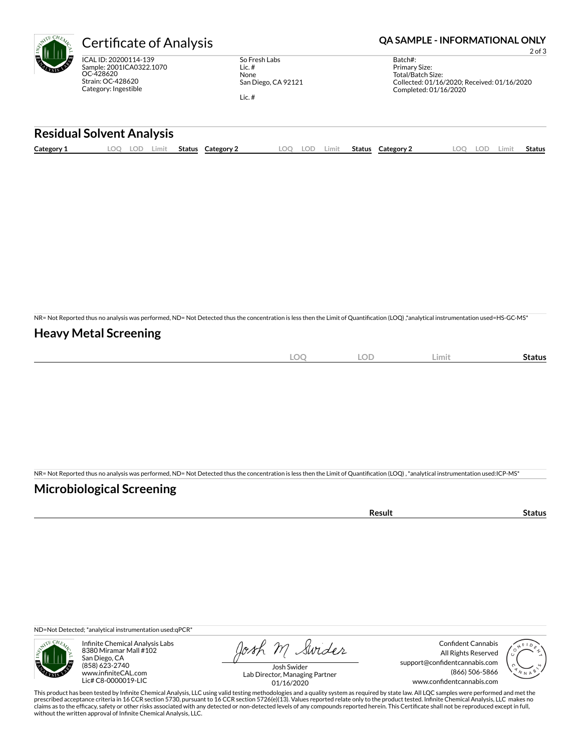

ICAL ID: 20200114-139 Sample: 2001ICA0322.1070 OC-428620 Strain: OC-428620 Category: Ingestible

So Fresh Labs Lic. # None San Diego, CA 92121 Lic. #

Certificate of Analysis **Certificate of Analysis QA SAMPLE - INFORMATIONAL ONLY** 

2 of 3

| Batch#:                                     |  |
|---------------------------------------------|--|
| Primary Size:                               |  |
| Total/Batch Size:                           |  |
| Collected: 01/16/2020; Received: 01/16/2020 |  |
| Completed: 01/16/2020                       |  |
|                                             |  |

### **Residual Solvent Analysis**

|  | $\sim$<br>Category: | . OC | .OF | Limit | <b>Status</b> | Category | $\Omega$ | LOD | .imit | Status | Category $\angle$ | ΩΩ<br>$\sim$ | LOD. | Limi | Status |
|--|---------------------|------|-----|-------|---------------|----------|----------|-----|-------|--------|-------------------|--------------|------|------|--------|
|--|---------------------|------|-----|-------|---------------|----------|----------|-----|-------|--------|-------------------|--------------|------|------|--------|

NR= Not Reported thus no analysis was performed, ND= Not Detected thus the concentration is less then the Limit of Quantification (LOQ),\*analytical instrumentation used=HS-GC-MS\*

## **Heavy Metal Screening**

| $\sim$<br>к<br>$-$<br>$\sim$ | $\cap \Gamma$<br>◡ | Limi | Status |
|------------------------------|--------------------|------|--------|
|                              |                    |      |        |

NR= Not Reported thus no analysis was performed, ND= Not Detected thus the concentration is less then the Limit of Quantification (LOQ) , \*analytical instrumentation used:ICP-MS\*

## **Microbiological Screening**

| the contract of the contract of the contract of<br>чн |  |
|-------------------------------------------------------|--|
|                                                       |  |

ND=Not Detected; \*analytical instrumentation used:qPCR\*



Infinite Chemical Analysis Labs 8380 Miramar Mall #102 San Diego, CA (858) 623-2740 www.infiniteCAL.com Lic# C8-0000019-LIC

Josh M Swider

Confident Cannabis All Rights Reserved support@confidentcannabis.com (866) 506-5866 www.confidentcannabis.com



Josh Swider Lab Director, Managing Partner 01/16/2020

This product has been tested by Infinite Chemical Analysis, LLC using valid testing methodologies and a quality system as required by state law. All LQC samples were performed and met the<br>prescribed acceptance criteria in without the written approval of Infinite Chemical Analysis, LLC.